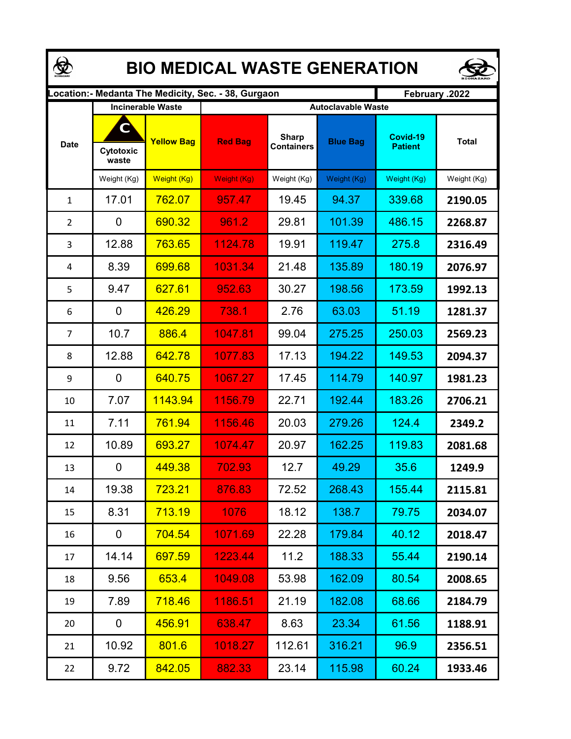| <b>BIO MEDICAL WASTE GENERATION</b> |                         |                                               |                                                     |                                   |                                              |                            |              |  |  |  |  |
|-------------------------------------|-------------------------|-----------------------------------------------|-----------------------------------------------------|-----------------------------------|----------------------------------------------|----------------------------|--------------|--|--|--|--|
|                                     |                         |                                               | Location:- Medanta The Medicity, Sec. - 38, Gurgaon |                                   | February .2022                               |                            |              |  |  |  |  |
| <b>Date</b>                         | C<br>Cytotoxic<br>waste | <b>Incinerable Waste</b><br><b>Yellow Bag</b> | <b>Red Bag</b>                                      | <b>Sharp</b><br><b>Containers</b> | <b>Autoclavable Waste</b><br><b>Blue Bag</b> | Covid-19<br><b>Patient</b> | <b>Total</b> |  |  |  |  |
|                                     | Weight (Kg)             | Weight (Kg)                                   | Weight (Kg)                                         | Weight (Kg)                       | Weight (Kg)                                  | Weight (Kg)                | Weight (Kg)  |  |  |  |  |
| $\mathbf{1}$                        | 17.01                   | 762.07                                        | 957.47                                              | 19.45                             | 94.37                                        | 339.68                     | 2190.05      |  |  |  |  |
| 2                                   | 0                       | 690.32                                        | 961.2                                               | 29.81                             | 101.39                                       | 486.15                     | 2268.87      |  |  |  |  |
| 3                                   | 12.88                   | 763.65                                        | 1124.78                                             | 19.91                             | 119.47                                       | 275.8                      | 2316.49      |  |  |  |  |
| 4                                   | 8.39                    | 699.68                                        | 1031.34                                             | 21.48                             | 135.89                                       | 180.19                     | 2076.97      |  |  |  |  |
| 5                                   | 9.47                    | 627.61                                        | 952.63                                              | 30.27                             | 198.56                                       | 173.59                     | 1992.13      |  |  |  |  |
| 6                                   | 0                       | 426.29                                        | 738.1                                               | 2.76                              | 63.03                                        | 51.19                      | 1281.37      |  |  |  |  |
| $\overline{7}$                      | 10.7                    | 886.4                                         | 1047.81                                             | 99.04                             | 275.25                                       | 250.03                     | 2569.23      |  |  |  |  |
| 8                                   | 12.88                   | 642.78                                        | 1077.83                                             | 17.13                             | 194.22                                       | 149.53                     | 2094.37      |  |  |  |  |
| 9                                   | 0                       | 640.75                                        | 1067.27                                             | 17.45                             | 114.79                                       | 140.97                     | 1981.23      |  |  |  |  |
| 10                                  | 7.07                    | 1143.94                                       | 1156.79                                             | 22.71                             | 192.44                                       | 183.26                     | 2706.21      |  |  |  |  |
| 11                                  | 7.11                    | 761.94                                        | 1156.46                                             | 20.03                             | 279.26                                       | 124.4                      | 2349.2       |  |  |  |  |
| 12                                  | 10.89                   | 693.27                                        | 1074.47                                             | 20.97                             | 162.25                                       | 119.83                     | 2081.68      |  |  |  |  |
| 13                                  | 0                       | 449.38                                        | 702.93                                              | 12.7                              | 49.29                                        | 35.6                       | 1249.9       |  |  |  |  |
| 14                                  | 19.38                   | 723.21                                        | 876.83                                              | 72.52                             | 268.43                                       | 155.44                     | 2115.81      |  |  |  |  |
| 15                                  | 8.31                    | 713.19                                        | 1076                                                | 18.12                             | 138.7                                        | 79.75                      | 2034.07      |  |  |  |  |
| 16                                  | 0                       | 704.54                                        | 1071.69                                             | 22.28                             | 179.84                                       | 40.12                      | 2018.47      |  |  |  |  |
| 17                                  | 14.14                   | 697.59                                        | 1223.44                                             | 11.2                              | 188.33                                       | 55.44                      | 2190.14      |  |  |  |  |
| 18                                  | 9.56                    | 653.4                                         | 1049.08                                             | 53.98                             | 162.09                                       | 80.54                      | 2008.65      |  |  |  |  |
| 19                                  | 7.89                    | 718.46                                        | 1186.51                                             | 21.19                             | 182.08                                       | 68.66                      | 2184.79      |  |  |  |  |
| 20                                  | 0                       | 456.91                                        | 638.47                                              | 8.63                              | 23.34                                        | 61.56                      | 1188.91      |  |  |  |  |
| 21                                  | 10.92                   | 801.6                                         | 1018.27                                             | 112.61                            | 316.21                                       | 96.9                       | 2356.51      |  |  |  |  |
| 22                                  | 9.72                    | 842.05                                        | 882.33                                              | 23.14                             | 115.98                                       | 60.24                      | 1933.46      |  |  |  |  |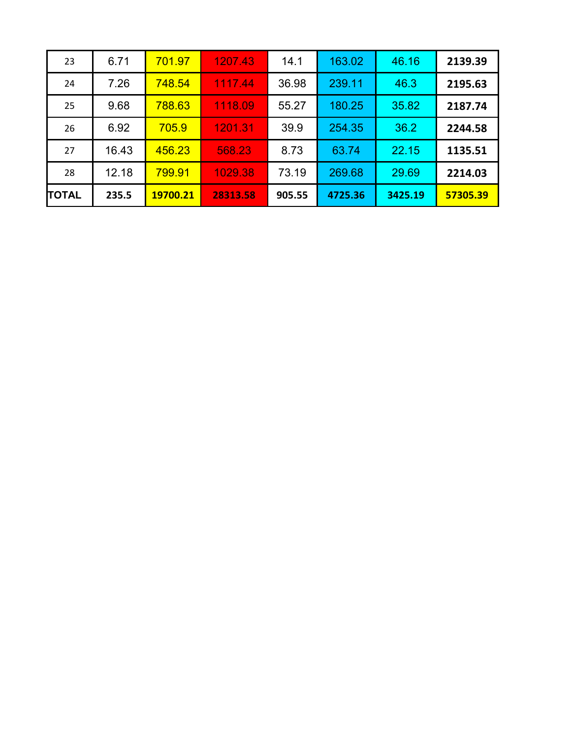| 23           | 6.71  | 701.97   | 1207.43  | 14.1   | 163.02  | 46.16   | 2139.39  |
|--------------|-------|----------|----------|--------|---------|---------|----------|
| 24           | 7.26  | 748.54   | 1117.44  | 36.98  | 239.11  | 46.3    | 2195.63  |
| 25           | 9.68  | 788.63   | 1118.09  | 55.27  | 180.25  | 35.82   | 2187.74  |
| 26           | 6.92  | 705.9    | 1201.31  | 39.9   | 254.35  | 36.2    | 2244.58  |
| 27           | 16.43 | 456.23   | 568.23   | 8.73   | 63.74   | 22.15   | 1135.51  |
| 28           | 12.18 | 799.91   | 1029.38  | 73.19  | 269.68  | 29.69   | 2214.03  |
| <b>TOTAL</b> | 235.5 | 19700.21 | 28313.58 | 905.55 | 4725.36 | 3425.19 | 57305.39 |